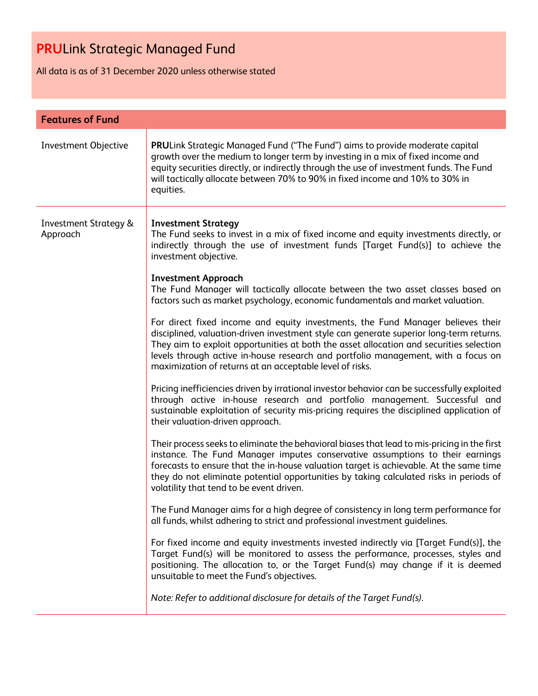All data is as of 31 December 2020 unless otherwise stated

| <b>Features of Fund</b>                      |                                                                                                                                                                                                                                                                                                                                                                                                                                                                                                                                                                                                                                                                                                                                                                                                                                                                                                                                                                                                                                                                                                                                                                                                                                                                                                                                                                                                                                                                                                                                                                                                                                                                                                                                                                                                                                                                                                                                                                                                                                                                                                                                                            |
|----------------------------------------------|------------------------------------------------------------------------------------------------------------------------------------------------------------------------------------------------------------------------------------------------------------------------------------------------------------------------------------------------------------------------------------------------------------------------------------------------------------------------------------------------------------------------------------------------------------------------------------------------------------------------------------------------------------------------------------------------------------------------------------------------------------------------------------------------------------------------------------------------------------------------------------------------------------------------------------------------------------------------------------------------------------------------------------------------------------------------------------------------------------------------------------------------------------------------------------------------------------------------------------------------------------------------------------------------------------------------------------------------------------------------------------------------------------------------------------------------------------------------------------------------------------------------------------------------------------------------------------------------------------------------------------------------------------------------------------------------------------------------------------------------------------------------------------------------------------------------------------------------------------------------------------------------------------------------------------------------------------------------------------------------------------------------------------------------------------------------------------------------------------------------------------------------------------|
| <b>Investment Objective</b>                  | PRULink Strategic Managed Fund ("The Fund") aims to provide moderate capital<br>growth over the medium to longer term by investing in a mix of fixed income and<br>equity securities directly, or indirectly through the use of investment funds. The Fund<br>will tactically allocate between 70% to 90% in fixed income and 10% to 30% in<br>equities.                                                                                                                                                                                                                                                                                                                                                                                                                                                                                                                                                                                                                                                                                                                                                                                                                                                                                                                                                                                                                                                                                                                                                                                                                                                                                                                                                                                                                                                                                                                                                                                                                                                                                                                                                                                                   |
| <b>Investment Strategy &amp;</b><br>Approach | <b>Investment Strategy</b><br>The Fund seeks to invest in a mix of fixed income and equity investments directly, or<br>indirectly through the use of investment funds [Target Fund(s)] to achieve the<br>investment objective.<br><b>Investment Approach</b><br>The Fund Manager will tactically allocate between the two asset classes based on<br>factors such as market psychology, economic fundamentals and market valuation.<br>For direct fixed income and equity investments, the Fund Manager believes their<br>disciplined, valuation-driven investment style can generate superior long-term returns.<br>They aim to exploit opportunities at both the asset allocation and securities selection<br>levels through active in-house research and portfolio management, with a focus on<br>maximization of returns at an acceptable level of risks.<br>Pricing inefficiencies driven by irrational investor behavior can be successfully exploited<br>through active in-house research and portfolio management. Successful and<br>sustainable exploitation of security mis-pricing requires the disciplined application of<br>their valuation-driven approach.<br>Their process seeks to eliminate the behavioral biases that lead to mis-pricing in the first<br>instance. The Fund Manager imputes conservative assumptions to their earnings<br>forecasts to ensure that the in-house valuation target is achievable. At the same time<br>they do not eliminate potential opportunities by taking calculated risks in periods of<br>volatility that tend to be event driven.<br>The Fund Manager aims for a high degree of consistency in long term performance for<br>all funds, whilst adhering to strict and professional investment guidelines.<br>For fixed income and equity investments invested indirectly via [Target Fund(s)], the<br>Target Fund(s) will be monitored to assess the performance, processes, styles and<br>positioning. The allocation to, or the Target Fund(s) may change if it is deemed<br>unsuitable to meet the Fund's objectives.<br>Note: Refer to additional disclosure for details of the Target Fund(s). |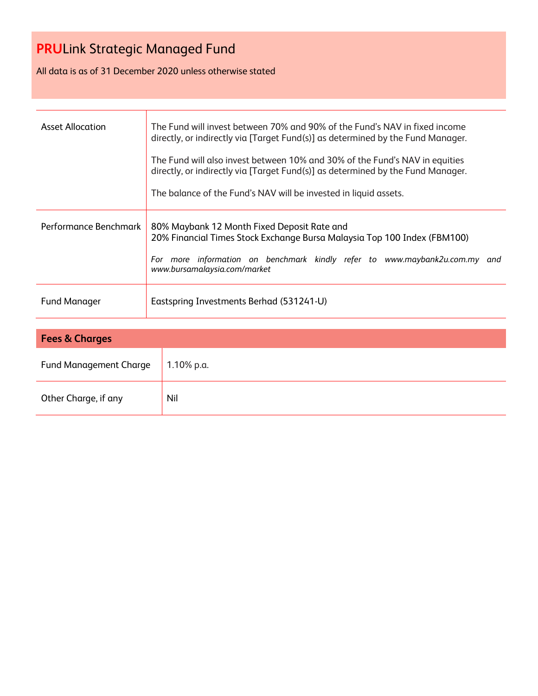All data is as of 31 December 2020 unless otherwise stated

| <b>Asset Allocation</b> | The Fund will invest between 70% and 90% of the Fund's NAV in fixed income<br>directly, or indirectly via [Target Fund(s)] as determined by the Fund Manager.<br>The Fund will also invest between 10% and 30% of the Fund's NAV in equities<br>directly, or indirectly via [Target Fund(s)] as determined by the Fund Manager.<br>The balance of the Fund's NAV will be invested in liquid assets. |
|-------------------------|-----------------------------------------------------------------------------------------------------------------------------------------------------------------------------------------------------------------------------------------------------------------------------------------------------------------------------------------------------------------------------------------------------|
| Performance Benchmark   | 80% Maybank 12 Month Fixed Deposit Rate and<br>20% Financial Times Stock Exchange Bursa Malaysia Top 100 Index (FBM100)<br>more information on benchmark kindly refer to www.maybank2u.com.my and<br>For<br>www.bursamalaysia.com/market                                                                                                                                                            |
| <b>Fund Manager</b>     | Eastspring Investments Berhad (531241-U)                                                                                                                                                                                                                                                                                                                                                            |

| <b>Fees &amp; Charges</b>     |            |  |  |  |  |
|-------------------------------|------------|--|--|--|--|
| <b>Fund Management Charge</b> | 1.10% p.a. |  |  |  |  |
| Other Charge, if any          | Nil        |  |  |  |  |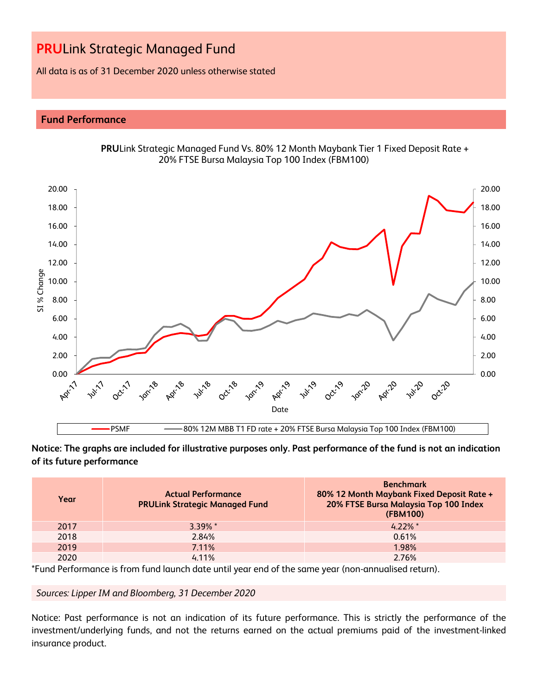All data is as of 31 December 2020 unless otherwise stated

### **Fund Performance**



**PRU**Link Strategic Managed Fund Vs. 80% 12 Month Maybank Tier 1 Fixed Deposit Rate + 20% FTSE Bursa Malaysia Top 100 Index (FBM100)

**Notice: The graphs are included for illustrative purposes only. Past performance of the fund is not an indication of its future performance**

| Year | <b>Actual Performance</b><br><b>PRULink Strategic Managed Fund</b> | <b>Benchmark</b><br>80% 12 Month Maybank Fixed Deposit Rate +<br>20% FTSE Bursa Malaysia Top 100 Index<br>(FBM100) |
|------|--------------------------------------------------------------------|--------------------------------------------------------------------------------------------------------------------|
| 2017 | $3.39\%$ *                                                         | $4.22\%$ *                                                                                                         |
| 2018 | 2.84%                                                              | 0.61%                                                                                                              |
| 2019 | 7.11%                                                              | 1.98%                                                                                                              |
| 2020 | $4.11\%$                                                           | 2.76%                                                                                                              |

\*Fund Performance is from fund launch date until year end of the same year (non-annualised return).

*Sources: Lipper IM and Bloomberg, 31 December 2020*

Notice: Past performance is not an indication of its future performance. This is strictly the performance of the investment/underlying funds, and not the returns earned on the actual premiums paid of the investment-linked insurance product.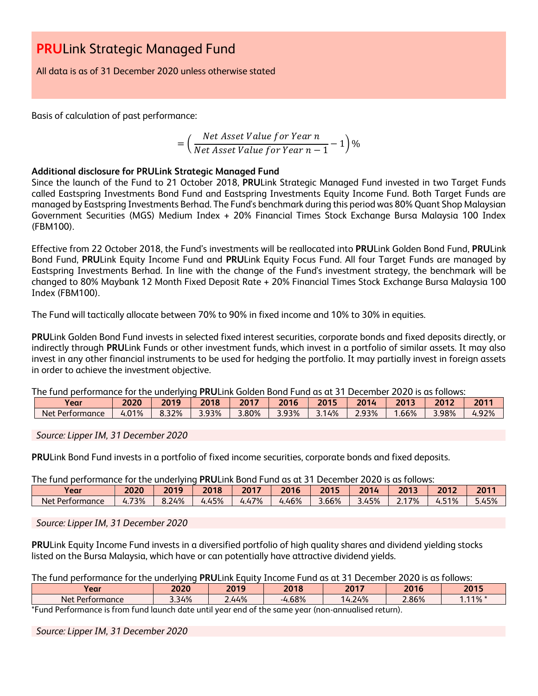All data is as of 31 December 2020 unless otherwise stated

Basis of calculation of past performance:

$$
= \left(\frac{Net\text{ Asset Value for Year }n}{Net\text{ Asset Value for Year }n-1}-1\right)\%
$$

### **Additional disclosure for PRULink Strategic Managed Fund**

Since the launch of the Fund to 21 October 2018, **PRU**Link Strategic Managed Fund invested in two Target Funds called Eastspring Investments Bond Fund and Eastspring Investments Equity Income Fund. Both Target Funds are managed by Eastspring Investments Berhad. The Fund's benchmark during this period was 80% Quant Shop Malaysian Government Securities (MGS) Medium Index + 20% Financial Times Stock Exchange Bursa Malaysia 100 Index (FBM100).

Effective from 22 October 2018, the Fund's investments will be reallocated into **PRU**Link Golden Bond Fund, **PRU**Link Bond Fund, **PRU**Link Equity Income Fund and **PRU**Link Equity Focus Fund. All four Target Funds are managed by Eastspring Investments Berhad. In line with the change of the Fund's investment strategy, the benchmark will be changed to 80% Maybank 12 Month Fixed Deposit Rate + 20% Financial Times Stock Exchange Bursa Malaysia 100 Index (FBM100).

The Fund will tactically allocate between 70% to 90% in fixed income and 10% to 30% in equities.

**PRU**Link Golden Bond Fund invests in selected fixed interest securities, corporate bonds and fixed deposits directly, or indirectly through **PRU**Link Funds or other investment funds, which invest in a portfolio of similar assets. It may also invest in any other financial instruments to be used for hedging the portfolio. It may partially invest in foreign assets in order to achieve the investment objective.

The fund performance for the underlying **PRU**Link Golden Bond Fund as at 31 December 2020 is as follows:

| Year            | 2020  | 2019  | 2018  | 2017  | 2016  | 2015 | 201   | 2013 | 2012  | $2044$<br>ΖU |
|-----------------|-------|-------|-------|-------|-------|------|-------|------|-------|--------------|
| Net Performance | 4.01% | 8.32% | 3.93% | 3.80% | 3.93% | 14%  | 2.93% | .66% | 3.98% | 92%،         |

#### *Source: Lipper IM, 31 December 2020*

**PRU**Link Bond Fund invests in a portfolio of fixed income securities, corporate bonds and fixed deposits.

The fund performance for the underlying **PRU**Link Bond Fund as at 31 December 2020 is as follows:

| Year                  | 2020          | 2019  | 2018  | 2017  | 2016<br>16 | 2015  | 2014 | 2013  | 2012       | 2011              |
|-----------------------|---------------|-------|-------|-------|------------|-------|------|-------|------------|-------------------|
| Net,<br>: Performance | 73%<br>$-4.7$ | 8.24% | 4.45% | 4.47% | 4.46%      | 3.66% | .45% | 2.17% | 51%<br>4.5 | 45%<br><u>. .</u> |

*Source: Lipper IM, 31 December 2020*

**PRU**Link Equity Income Fund invests in a diversified portfolio of high quality shares and dividend yielding stocks listed on the Bursa Malaysia, which have or can potentially have attractive dividend yields.

|  | The fund performance for the underlying PRULink Equity Income Fund as at 31 December 2020 is as follows: |  |  |  |  |  |  |
|--|----------------------------------------------------------------------------------------------------------|--|--|--|--|--|--|
|--|----------------------------------------------------------------------------------------------------------|--|--|--|--|--|--|

| Year                                      | 2020  | 2019  | 2018<br>18   | 2017   | 2016  | 2015        |
|-------------------------------------------|-------|-------|--------------|--------|-------|-------------|
| Net <sub>1</sub><br>$\sim$<br>Performance | 3.34% | 2.44% | 1.68%<br>- - | 14.24% | 2.86% | 110/<br>170 |
| $+ -$<br>Ð<br>- 1                         |       |       |              |        |       |             |

\*Fund Performance is from fund launch date until year end of the same year (non-annualised return).

*Source: Lipper IM, 31 December 2020*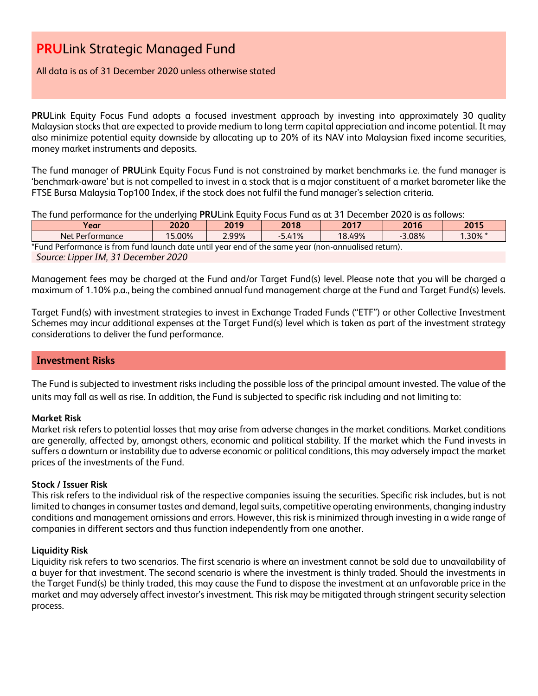All data is as of 31 December 2020 unless otherwise stated

**PRU**Link Equity Focus Fund adopts a focused investment approach by investing into approximately 30 quality Malaysian stocks that are expected to provide medium to long term capital appreciation and income potential. It may also minimize potential equity downside by allocating up to 20% of its NAV into Malaysian fixed income securities, money market instruments and deposits.

The fund manager of **PRU**Link Equity Focus Fund is not constrained by market benchmarks i.e. the fund manager is 'benchmark-aware' but is not compelled to invest in a stock that is a major constituent of a market barometer like the FTSE Bursa Malaysia Top100 Index, if the stock does not fulfil the fund manager's selection criteria.

The fund performance for the underlying **PRU**Link Equity Focus Fund as at 31 December 2020 is as follows:

| Year                                                                                                | 2020   | 2019  | 2018     | 2017   | 2016     | 2015       |
|-----------------------------------------------------------------------------------------------------|--------|-------|----------|--------|----------|------------|
| Net Performance                                                                                     | 15.00% | 2.99% | $-5.41%$ | 18.49% | $-3.08%$ | $1.30\%$ * |
| *Fund Performance is from fund launch date until year end of the same year (non-annualised return). |        |       |          |        |          |            |
| Source: Lipper IM, 31 December 2020                                                                 |        |       |          |        |          |            |

Management fees may be charged at the Fund and/or Target Fund(s) level. Please note that you will be charged a maximum of 1.10% p.a., being the combined annual fund management charge at the Fund and Target Fund(s) levels.

Target Fund(s) with investment strategies to invest in Exchange Traded Funds ("ETF") or other Collective Investment Schemes may incur additional expenses at the Target Fund(s) level which is taken as part of the investment strategy considerations to deliver the fund performance.

### **Investment Risks**

The Fund is subjected to investment risks including the possible loss of the principal amount invested. The value of the units may fall as well as rise. In addition, the Fund is subjected to specific risk including and not limiting to:

### **Market Risk**

Market risk refers to potential losses that may arise from adverse changes in the market conditions. Market conditions are generally, affected by, amongst others, economic and political stability. If the market which the Fund invests in suffers a downturn or instability due to adverse economic or political conditions, this may adversely impact the market prices of the investments of the Fund.

#### **Stock / Issuer Risk**

This risk refers to the individual risk of the respective companies issuing the securities. Specific risk includes, but is not limited to changes in consumer tastes and demand, legal suits, competitive operating environments, changing industry conditions and management omissions and errors. However, this risk is minimized through investing in a wide range of companies in different sectors and thus function independently from one another.

#### **Liquidity Risk**

Liquidity risk refers to two scenarios. The first scenario is where an investment cannot be sold due to unavailability of a buyer for that investment. The second scenario is where the investment is thinly traded. Should the investments in the Target Fund(s) be thinly traded, this may cause the Fund to dispose the investment at an unfavorable price in the market and may adversely affect investor's investment. This risk may be mitigated through stringent security selection process.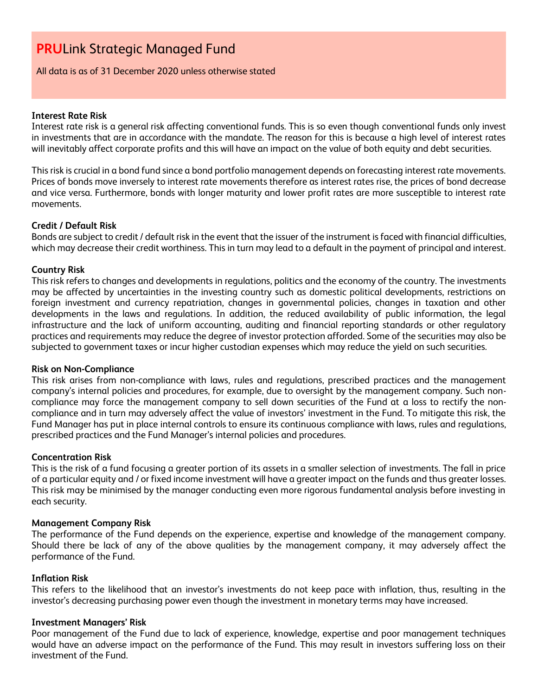All data is as of 31 December 2020 unless otherwise stated

#### **Interest Rate Risk**

Interest rate risk is a general risk affecting conventional funds. This is so even though conventional funds only invest in investments that are in accordance with the mandate. The reason for this is because a high level of interest rates will inevitably affect corporate profits and this will have an impact on the value of both equity and debt securities.

This risk is crucial in a bond fund since a bond portfolio management depends on forecasting interest rate movements. Prices of bonds move inversely to interest rate movements therefore as interest rates rise, the prices of bond decrease and vice versa. Furthermore, bonds with longer maturity and lower profit rates are more susceptible to interest rate movements.

#### **Credit / Default Risk**

Bonds are subject to credit / default risk in the event that the issuer of the instrument is faced with financial difficulties, which may decrease their credit worthiness. This in turn may lead to a default in the payment of principal and interest.

#### **Country Risk**

This risk refers to changes and developments in regulations, politics and the economy of the country. The investments may be affected by uncertainties in the investing country such as domestic political developments, restrictions on foreign investment and currency repatriation, changes in governmental policies, changes in taxation and other developments in the laws and regulations. In addition, the reduced availability of public information, the legal infrastructure and the lack of uniform accounting, auditing and financial reporting standards or other regulatory practices and requirements may reduce the degree of investor protection afforded. Some of the securities may also be subjected to government taxes or incur higher custodian expenses which may reduce the yield on such securities.

#### **Risk on Non-Compliance**

This risk arises from non-compliance with laws, rules and regulations, prescribed practices and the management company's internal policies and procedures, for example, due to oversight by the management company. Such noncompliance may force the management company to sell down securities of the Fund at a loss to rectify the noncompliance and in turn may adversely affect the value of investors' investment in the Fund. To mitigate this risk, the Fund Manager has put in place internal controls to ensure its continuous compliance with laws, rules and regulations, prescribed practices and the Fund Manager's internal policies and procedures.

#### **Concentration Risk**

This is the risk of a fund focusing a greater portion of its assets in a smaller selection of investments. The fall in price of a particular equity and / or fixed income investment will have a greater impact on the funds and thus greater losses. This risk may be minimised by the manager conducting even more rigorous fundamental analysis before investing in each security.

#### **Management Company Risk**

The performance of the Fund depends on the experience, expertise and knowledge of the management company. Should there be lack of any of the above qualities by the management company, it may adversely affect the performance of the Fund.

#### **Inflation Risk**

This refers to the likelihood that an investor's investments do not keep pace with inflation, thus, resulting in the investor's decreasing purchasing power even though the investment in monetary terms may have increased.

#### **Investment Managers' Risk**

Poor management of the Fund due to lack of experience, knowledge, expertise and poor management techniques would have an adverse impact on the performance of the Fund. This may result in investors suffering loss on their investment of the Fund.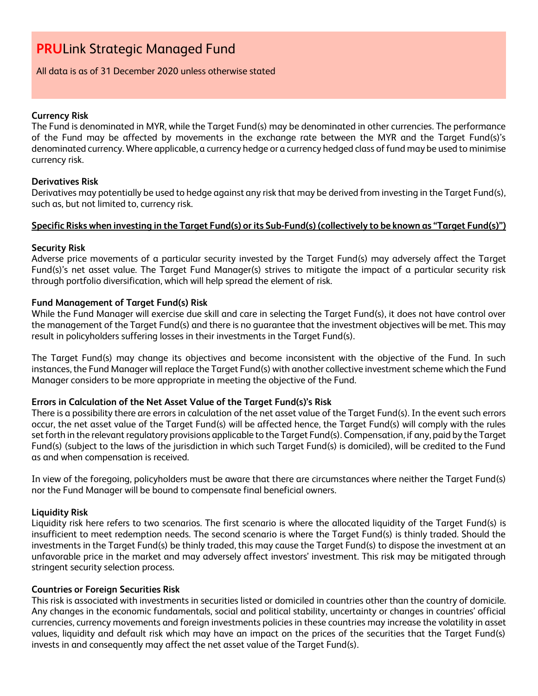#### All data is as of 31 December 2020 unless otherwise stated

#### **Currency Risk**

The Fund is denominated in MYR, while the Target Fund(s) may be denominated in other currencies. The performance of the Fund may be affected by movements in the exchange rate between the MYR and the Target Fund(s)'s denominated currency. Where applicable, a currency hedge or a currency hedged class of fund may be used to minimise currency risk.

### **Derivatives Risk**

Derivatives may potentially be used to hedge against any risk that may be derived from investing in the Target Fund(s), such as, but not limited to, currency risk.

#### **Specific Risks when investing in the Target Fund(s) or its Sub-Fund(s) (collectively to be known as "Target Fund(s)")**

### **Security Risk**

Adverse price movements of a particular security invested by the Target Fund(s) may adversely affect the Target Fund(s)'s net asset value. The Target Fund Manager(s) strives to mitigate the impact of a particular security risk through portfolio diversification, which will help spread the element of risk.

### **Fund Management of Target Fund(s) Risk**

While the Fund Manager will exercise due skill and care in selecting the Target Fund(s), it does not have control over the management of the Target Fund(s) and there is no guarantee that the investment objectives will be met. This may result in policyholders suffering losses in their investments in the Target Fund(s).

The Target Fund(s) may change its objectives and become inconsistent with the objective of the Fund. In such instances, the Fund Manager will replace the Target Fund(s) with another collective investment scheme which the Fund Manager considers to be more appropriate in meeting the objective of the Fund.

#### **Errors in Calculation of the Net Asset Value of the Target Fund(s)'s Risk**

There is a possibility there are errors in calculation of the net asset value of the Target Fund(s). In the event such errors occur, the net asset value of the Target Fund(s) will be affected hence, the Target Fund(s) will comply with the rules set forth in the relevant regulatory provisions applicable to the Target Fund(s). Compensation, if any, paid by the Target Fund(s) (subject to the laws of the jurisdiction in which such Target Fund(s) is domiciled), will be credited to the Fund as and when compensation is received.

In view of the foregoing, policyholders must be aware that there are circumstances where neither the Target Fund(s) nor the Fund Manager will be bound to compensate final beneficial owners.

#### **Liquidity Risk**

Liquidity risk here refers to two scenarios. The first scenario is where the allocated liquidity of the Target Fund(s) is insufficient to meet redemption needs. The second scenario is where the Target Fund(s) is thinly traded. Should the investments in the Target Fund(s) be thinly traded, this may cause the Target Fund(s) to dispose the investment at an unfavorable price in the market and may adversely affect investors' investment. This risk may be mitigated through stringent security selection process.

#### **Countries or Foreign Securities Risk**

This risk is associated with investments in securities listed or domiciled in countries other than the country of domicile. Any changes in the economic fundamentals, social and political stability, uncertainty or changes in countries' official currencies, currency movements and foreign investments policies in these countries may increase the volatility in asset values, liquidity and default risk which may have an impact on the prices of the securities that the Target Fund(s) invests in and consequently may affect the net asset value of the Target Fund(s).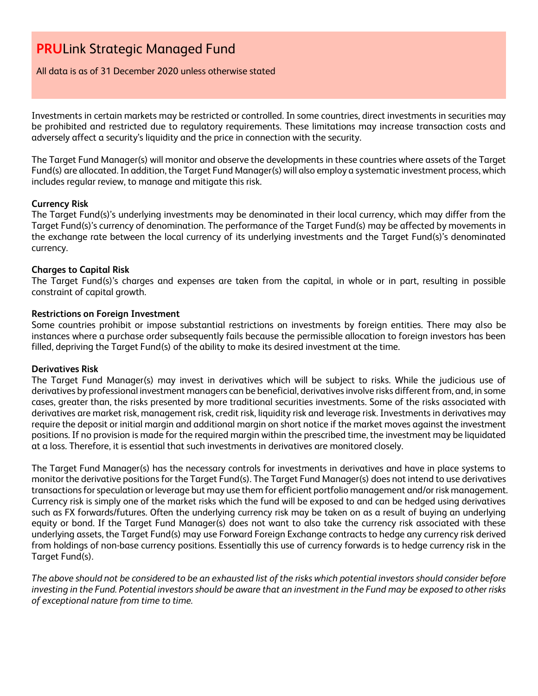All data is as of 31 December 2020 unless otherwise stated

Investments in certain markets may be restricted or controlled. In some countries, direct investments in securities may be prohibited and restricted due to regulatory requirements. These limitations may increase transaction costs and adversely affect a security's liquidity and the price in connection with the security.

The Target Fund Manager(s) will monitor and observe the developments in these countries where assets of the Target Fund(s) are allocated. In addition, the Target Fund Manager(s) will also employ a systematic investment process, which includes regular review, to manage and mitigate this risk.

#### **Currency Risk**

The Target Fund(s)'s underlying investments may be denominated in their local currency, which may differ from the Target Fund(s)'s currency of denomination. The performance of the Target Fund(s) may be affected by movements in the exchange rate between the local currency of its underlying investments and the Target Fund(s)'s denominated currency.

### **Charges to Capital Risk**

The Target Fund(s)'s charges and expenses are taken from the capital, in whole or in part, resulting in possible constraint of capital growth.

### **Restrictions on Foreign Investment**

Some countries prohibit or impose substantial restrictions on investments by foreign entities. There may also be instances where a purchase order subsequently fails because the permissible allocation to foreign investors has been filled, depriving the Target Fund(s) of the ability to make its desired investment at the time.

#### **Derivatives Risk**

The Target Fund Manager(s) may invest in derivatives which will be subject to risks. While the judicious use of derivatives by professional investment managers can be beneficial, derivatives involve risks different from, and, in some cases, greater than, the risks presented by more traditional securities investments. Some of the risks associated with derivatives are market risk, management risk, credit risk, liquidity risk and leverage risk. Investments in derivatives may require the deposit or initial margin and additional margin on short notice if the market moves against the investment positions. If no provision is made for the required margin within the prescribed time, the investment may be liquidated at a loss. Therefore, it is essential that such investments in derivatives are monitored closely.

The Target Fund Manager(s) has the necessary controls for investments in derivatives and have in place systems to monitor the derivative positions for the Target Fund(s). The Target Fund Manager(s) does not intend to use derivatives transactions for speculation or leverage but may use them for efficient portfolio management and/or risk management. Currency risk is simply one of the market risks which the fund will be exposed to and can be hedged using derivatives such as FX forwards/futures. Often the underlying currency risk may be taken on as a result of buying an underlying equity or bond. If the Target Fund Manager(s) does not want to also take the currency risk associated with these underlying assets, the Target Fund(s) may use Forward Foreign Exchange contracts to hedge any currency risk derived from holdings of non-base currency positions. Essentially this use of currency forwards is to hedge currency risk in the Target Fund(s).

*The above should not be considered to be an exhausted list of the risks which potential investors should consider before investing in the Fund. Potential investors should be aware that an investment in the Fund may be exposed to other risks of exceptional nature from time to time.*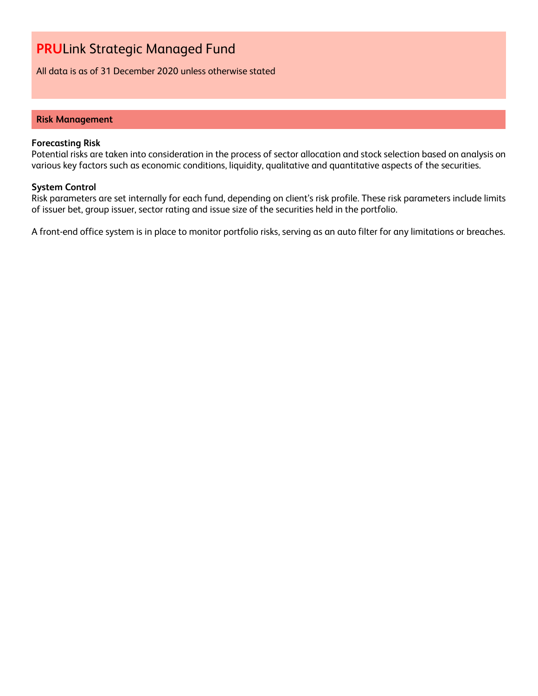All data is as of 31 December 2020 unless otherwise stated

#### **Risk Management**

#### **Forecasting Risk**

Potential risks are taken into consideration in the process of sector allocation and stock selection based on analysis on various key factors such as economic conditions, liquidity, qualitative and quantitative aspects of the securities.

#### **System Control**

Risk parameters are set internally for each fund, depending on client's risk profile. These risk parameters include limits of issuer bet, group issuer, sector rating and issue size of the securities held in the portfolio.

A front-end office system is in place to monitor portfolio risks, serving as an auto filter for any limitations or breaches.